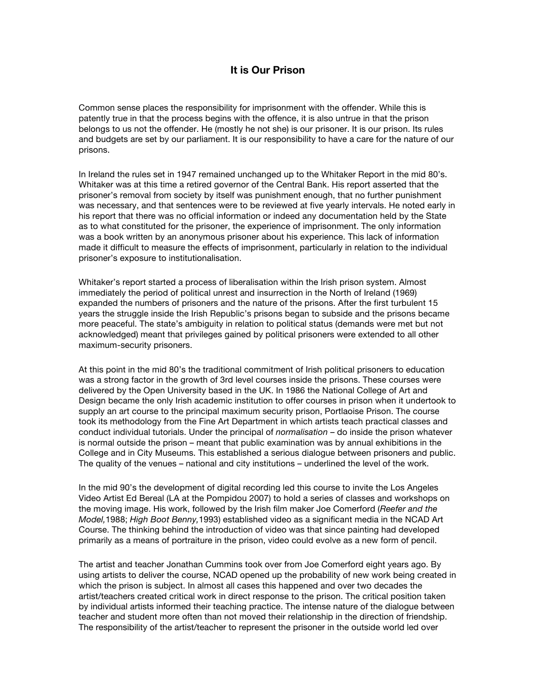## **It is Our Prison**

Common sense places the responsibility for imprisonment with the offender. While this is patently true in that the process begins with the offence, it is also untrue in that the prison belongs to us not the offender. He (mostly he not she) is our prisoner. It is our prison. Its rules and budgets are set by our parliament. It is our responsibility to have a care for the nature of our prisons.

In Ireland the rules set in 1947 remained unchanged up to the Whitaker Report in the mid 80's. Whitaker was at this time a retired governor of the Central Bank. His report asserted that the prisoner's removal from society by itself was punishment enough, that no further punishment was necessary, and that sentences were to be reviewed at five yearly intervals. He noted early in his report that there was no official information or indeed any documentation held by the State as to what constituted for the prisoner, the experience of imprisonment. The only information was a book written by an anonymous prisoner about his experience. This lack of information made it difficult to measure the effects of imprisonment, particularly in relation to the individual prisoner's exposure to institutionalisation.

Whitaker's report started a process of liberalisation within the Irish prison system. Almost immediately the period of political unrest and insurrection in the North of Ireland (1969) expanded the numbers of prisoners and the nature of the prisons. After the first turbulent 15 years the struggle inside the Irish Republic's prisons began to subside and the prisons became more peaceful. The state's ambiguity in relation to political status (demands were met but not acknowledged) meant that privileges gained by political prisoners were extended to all other maximum-security prisoners.

At this point in the mid 80's the traditional commitment of Irish political prisoners to education was a strong factor in the growth of 3rd level courses inside the prisons. These courses were delivered by the Open University based in the UK. In 1986 the National College of Art and Design became the only Irish academic institution to offer courses in prison when it undertook to supply an art course to the principal maximum security prison, Portlaoise Prison. The course took its methodology from the Fine Art Department in which artists teach practical classes and conduct individual tutorials. Under the principal of *normalisation* – do inside the prison whatever is normal outside the prison – meant that public examination was by annual exhibitions in the College and in City Museums. This established a serious dialogue between prisoners and public. The quality of the venues – national and city institutions – underlined the level of the work.

In the mid 90's the development of digital recording led this course to invite the Los Angeles Video Artist Ed Bereal (LA at the Pompidou 2007) to hold a series of classes and workshops on the moving image. His work, followed by the Irish film maker Joe Comerford (*Reefer and the Model,*1988; *High Boot Benny,*1993) established video as a significant media in the NCAD Art Course. The thinking behind the introduction of video was that since painting had developed primarily as a means of portraiture in the prison, video could evolve as a new form of pencil.

The artist and teacher Jonathan Cummins took over from Joe Comerford eight years ago. By using artists to deliver the course, NCAD opened up the probability of new work being created in which the prison is subject. In almost all cases this happened and over two decades the artist/teachers created critical work in direct response to the prison. The critical position taken by individual artists informed their teaching practice. The intense nature of the dialogue between teacher and student more often than not moved their relationship in the direction of friendship. The responsibility of the artist/teacher to represent the prisoner in the outside world led over